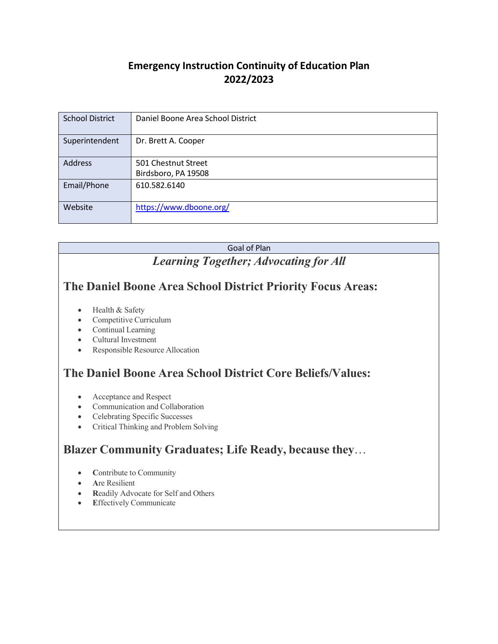### **Emergency Instruction Continuity of Education Plan 2022/2023**

| <b>School District</b> | Daniel Boone Area School District |
|------------------------|-----------------------------------|
|                        |                                   |
| Superintendent         | Dr. Brett A. Cooper               |
|                        |                                   |
| <b>Address</b>         | 501 Chestnut Street               |
|                        | Birdsboro, PA 19508               |
| Email/Phone            | 610.582.6140                      |
|                        |                                   |
| Website                | https://www.dboone.org/           |
|                        |                                   |

# Goal of Plan *Learning Together; Advocating for All* **The Daniel Boone Area School District Priority Focus Areas:** • Health & Safety • Competitive Curriculum • Continual Learning

- Cultural Investment
- Responsible Resource Allocation

# **The Daniel Boone Area School District Core Beliefs/Values:**

- Acceptance and Respect
- Communication and Collaboration
- Celebrating Specific Successes
- Critical Thinking and Problem Solving

## **Blazer Community Graduates; Life Ready, because they**…

- **C**ontribute to Community
- **A**re Resilient
- **R**eadily Advocate for Self and Others
- **E**ffectively Communicate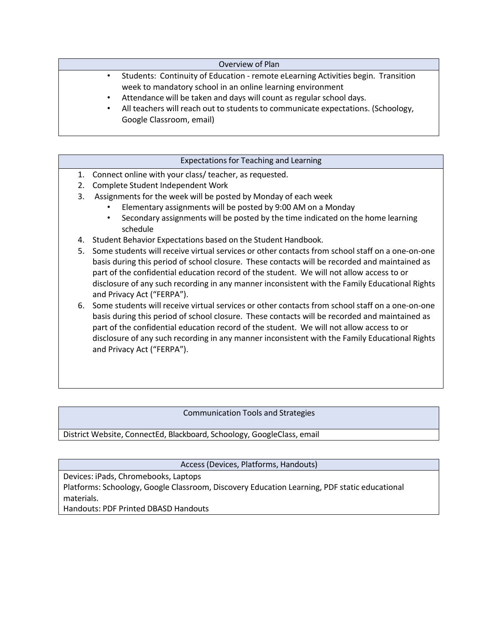| Overview of Plan                                                                  |
|-----------------------------------------------------------------------------------|
| Students: Continuity of Education - remote eLearning Activities begin. Transition |
| week to mandatory school in an online learning environment                        |
| Attendance will be taken and days will count as regular school days.              |
| All teachers will reach out to students to communicate expectations. (Schoology,  |
| Google Classroom, email)                                                          |

| <b>Expectations for Teaching and Learning</b>                                                                                                                                                                                                                                                                                                                                                                                      |
|------------------------------------------------------------------------------------------------------------------------------------------------------------------------------------------------------------------------------------------------------------------------------------------------------------------------------------------------------------------------------------------------------------------------------------|
| Connect online with your class/ teacher, as requested.<br>1.                                                                                                                                                                                                                                                                                                                                                                       |
| Complete Student Independent Work<br>2.                                                                                                                                                                                                                                                                                                                                                                                            |
| 3.<br>Assignments for the week will be posted by Monday of each week                                                                                                                                                                                                                                                                                                                                                               |
| Elementary assignments will be posted by 9:00 AM on a Monday                                                                                                                                                                                                                                                                                                                                                                       |
| Secondary assignments will be posted by the time indicated on the home learning<br>schedule                                                                                                                                                                                                                                                                                                                                        |
| Student Behavior Expectations based on the Student Handbook.<br>4.                                                                                                                                                                                                                                                                                                                                                                 |
| Some students will receive virtual services or other contacts from school staff on a one-on-one<br>5.<br>basis during this period of school closure. These contacts will be recorded and maintained as<br>part of the confidential education record of the student. We will not allow access to or<br>disclosure of any such recording in any manner inconsistent with the Family Educational Rights<br>and Privacy Act ("FERPA"). |
| Some students will receive virtual services or other contacts from school staff on a one-on-one<br>6.<br>basis during this period of school closure. These contacts will be recorded and maintained as<br>part of the confidential education record of the student. We will not allow access to or<br>disclosure of any such recording in any manner inconsistent with the Family Educational Rights                               |

### Communication Tools and Strategies

District Website, ConnectEd, Blackboard, Schoology, GoogleClass, email

Access (Devices, Platforms, Handouts)

Devices: iPads, Chromebooks, Laptops Platforms: Schoology, Google Classroom, Discovery Education Learning, PDF static educational materials.

Handouts: PDF Printed DBASD Handouts

and Privacy Act ("FERPA").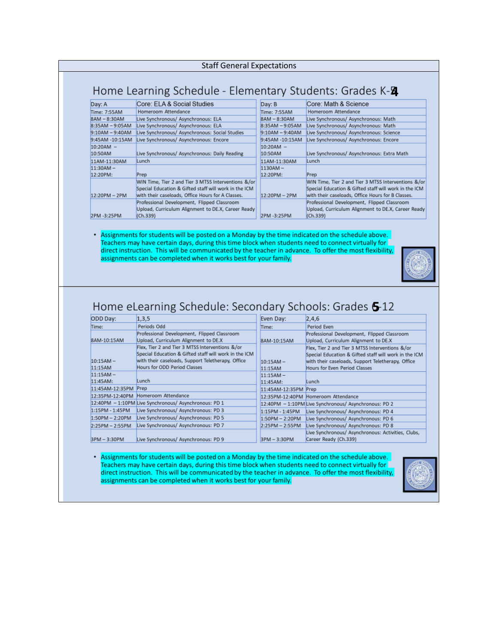#### Staff General Expectations

# Home Learning Schedule - Elementary Students: Grades K-2

| Day: A            | Core: ELA & Social Studies                            | Day: B            | Core: Math & Science                                  |
|-------------------|-------------------------------------------------------|-------------------|-------------------------------------------------------|
| Time: 7:55AM      | Homeroom Attendance                                   | Time: 7:55AM      | Homeroom Attendance                                   |
| $8AM - 8:30AM$    | Live Synchronous/ Asynchronous: ELA                   | $8AM - 8:30AM$    | Live Synchronous/ Asynchronous: Math                  |
| $8:35AM - 9:05AM$ | Live Synchronous/ Asynchronous: ELA                   | $8:35AM - 9:05AM$ | Live Synchronous/ Asynchronous: Math                  |
| $9:10AM - 9:40AM$ | Live Synchronous/ Asynchronous: Social Studies        | $9:10AM - 9:40AM$ | Live Synchronous/ Asynchronous: Science               |
| 9:45AM -10:15AM   | Live Synchronous/ Asynchronous: Encore                | 9:45AM -10:15AM   | Live Synchronous/ Asynchronous: Encore                |
| $10:20AM -$       |                                                       | $10:20AM -$       |                                                       |
| 10:50AM           | Live Synchronous/ Asynchronous: Daily Reading         | 10:50AM           | Live Synchronous/ Asynchronous: Extra Math            |
| 11AM-11:30AM      | Lunch                                                 | 11AM-11:30AM      | Lunch                                                 |
| $11:30AM -$       |                                                       | $1130AM -$        |                                                       |
| 12:20PM:          | Prep                                                  | 12:20PM:          | Prep                                                  |
|                   | WIN Time, Tier 2 and Tier 3 MTSS Interventions &/or   |                   | WIN Time, Tier 2 and Tier 3 MTSS Interventions &/or   |
|                   | Special Education & Gifted staff will work in the ICM |                   | Special Education & Gifted staff will work in the ICM |
| $12:20PM - 2PM$   | with their caseloads, Office Hours for A Classes.     | $12:20PM - 2PM$   | with their caseloads, Office Hours for B Classes.     |
|                   | Professional Development, Flipped Classroom           |                   | Professional Development, Flipped Classroom           |
|                   | Upload, Curriculum Alignment to DE.X. Career Ready    |                   | Upload, Curriculum Alignment to DE.X, Career Ready    |
| 2PM-3:25PM        | (Ch.339)                                              | 2PM-3:25PM        | (Ch.339)                                              |

#### . Assignments for students will be posted on a Monday by the time indicated on the schedule above. Teachers may have certain days, during this time block when students need to connect virtually for direct instruction. This will be communicated by the teacher in advance. To offer the most flexibility, assignments can be completed when it works best for your family.



### Home eLearning Schedule: Secondary Schools: Grades 6-12

| ODD Day:          | 1,3,5                                                 | Even Day:            | 2,4,6                                                 |
|-------------------|-------------------------------------------------------|----------------------|-------------------------------------------------------|
| Time:             | Periods Odd                                           | Time:                | Period Even                                           |
|                   | Professional Development, Flipped Classroom           |                      | Professional Development, Flipped Classroom           |
| 8AM-10:15AM       | Upload, Curriculum Alignment to DE.X                  | 8AM-10:15AM          | Upload, Curriculum Alignment to DE.X                  |
|                   | Flex, Tier 2 and Tier 3 MTSS Interventions &/or       |                      | Flex, Tier 2 and Tier 3 MTSS Interventions &/or       |
|                   | Special Education & Gifted staff will work in the ICM |                      | Special Education & Gifted staff will work in the ICM |
| $10:15AM -$       | with their caseloads, Support Teletherapy, Office     | $10:15AM -$          | with their caseloads, Support Teletherapy, Office     |
| 11:15AM           | Hours for ODD Period Classes                          | 11:15AM              | Hours for Even Period Classes                         |
| $11:15AM -$       |                                                       | $11:15AM -$          |                                                       |
| 11:45AM:          | Lunch                                                 | 11:45AM:             | Lunch                                                 |
| 11:45AM-12:35PM   | Prep                                                  | 11:45AM-12:35PM Prep |                                                       |
| 12:35PM-12:40PM   | Homeroom Attendance                                   |                      | 12:35PM-12:40PM Homeroom Attendance                   |
|                   | 12:40PM - 1:10PM Live Synchronous/ Asynchronous: PD 1 |                      | 12:40PM - 1:10PM Live Synchronous/ Asynchronous: PD 2 |
| 1:15PM - 1:45PM   | Live Synchronous/ Asynchronous: PD 3                  | 1:15PM - 1:45PM      | Live Synchronous/ Asynchronous: PD 4                  |
| $1:50PM - 2:20PM$ | Live Synchronous/ Asynchronous: PD 5                  | $1:50PM - 2:20PM$    | Live Synchronous/ Asynchronous: PD 6                  |
| $2:25PM - 2:55PM$ | Live Synchronous/ Asynchronous: PD 7                  | $2:25PM - 2:55PM$    | Live Synchronous/ Asynchronous: PD 8                  |
|                   |                                                       |                      | Live Synchronous/ Asynchronous: Activities, Clubs,    |
| 3PM - 3:30PM      | Live Synchronous/ Asynchronous: PD 9                  | 3PM - 3:30PM         | Career Ready (Ch.339)                                 |

. Assignments for students will be posted on a Monday by the time indicated on the schedule above. Teachers may have certain days, during this time block when students need to connect virtually for direct instruction. This will be communicated by the teacher in advance. To offer the most flexibility, assignments can be completed when it works best for your family.

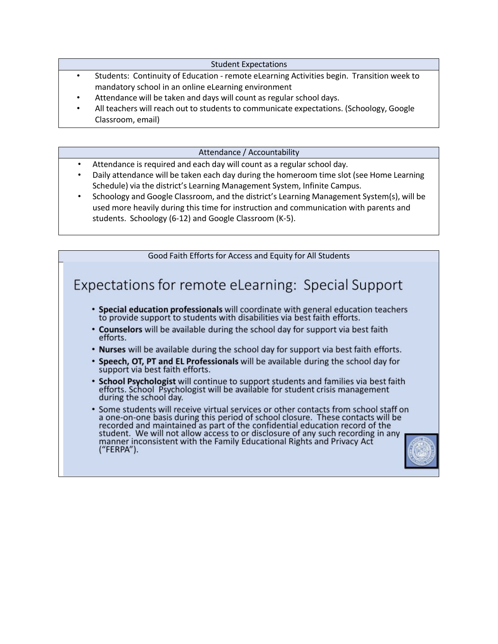Student Expectations

- Students: Continuity of Education remote eLearning Activities begin. Transition week to mandatory school in an online eLearning environment
- Attendance will be taken and days will count as regular school days.
- All teachers will reach out to students to communicate expectations. (Schoology, Google Classroom, email)

### Attendance / Accountability

- Attendance is required and each day will count as a regular school day.
- Daily attendance will be taken each day during the homeroom time slot (see Home Learning Schedule) via the district's Learning Management System, Infinite Campus.
- Schoology and Google Classroom, and the district's Learning Management System(s), will be used more heavily during this time for instruction and communication with parents and students. Schoology (6-12) and Google Classroom (K-5).

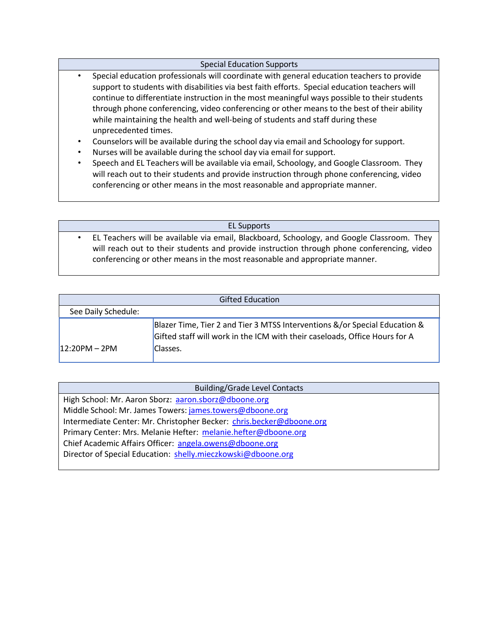### Special Education Supports

- Special education professionals will coordinate with general education teachers to provide support to students with disabilities via best faith efforts. Special education teachers will continue to differentiate instruction in the most meaningful ways possible to their students through phone conferencing, video conferencing or other means to the best of their ability while maintaining the health and well-being of students and staff during these unprecedented times.
- Counselors will be available during the school day via email and Schoology for support.
- Nurses will be available during the school day via email for support.
- Speech and EL Teachers will be available via email, Schoology, and Google Classroom. They will reach out to their students and provide instruction through phone conferencing, video conferencing or other means in the most reasonable and appropriate manner.

#### EL Supports

• EL Teachers will be available via email, Blackboard, Schoology, and Google Classroom. They will reach out to their students and provide instruction through phone conferencing, video conferencing or other means in the most reasonable and appropriate manner.

| <b>Gifted Education</b> |                                                                                                                                                                      |  |  |
|-------------------------|----------------------------------------------------------------------------------------------------------------------------------------------------------------------|--|--|
| See Daily Schedule:     |                                                                                                                                                                      |  |  |
| $12:20PM - 2PM$         | Blazer Time, Tier 2 and Tier 3 MTSS Interventions &/or Special Education &<br>Gifted staff will work in the ICM with their caseloads, Office Hours for A<br>Classes. |  |  |

| <b>Building/Grade Level Contacts</b>                                 |
|----------------------------------------------------------------------|
| High School: Mr. Aaron Sborz: aaron.sborz@dboone.org                 |
| Middle School: Mr. James Towers: james.towers@dboone.org             |
| Intermediate Center: Mr. Christopher Becker: chris.becker@dboone.org |
| Primary Center: Mrs. Melanie Hefter: melanie.hefter@dboone.org       |
| Chief Academic Affairs Officer: angela.owens@dboone.org              |
| Director of Special Education: shelly.mieczkowski@dboone.org         |
|                                                                      |